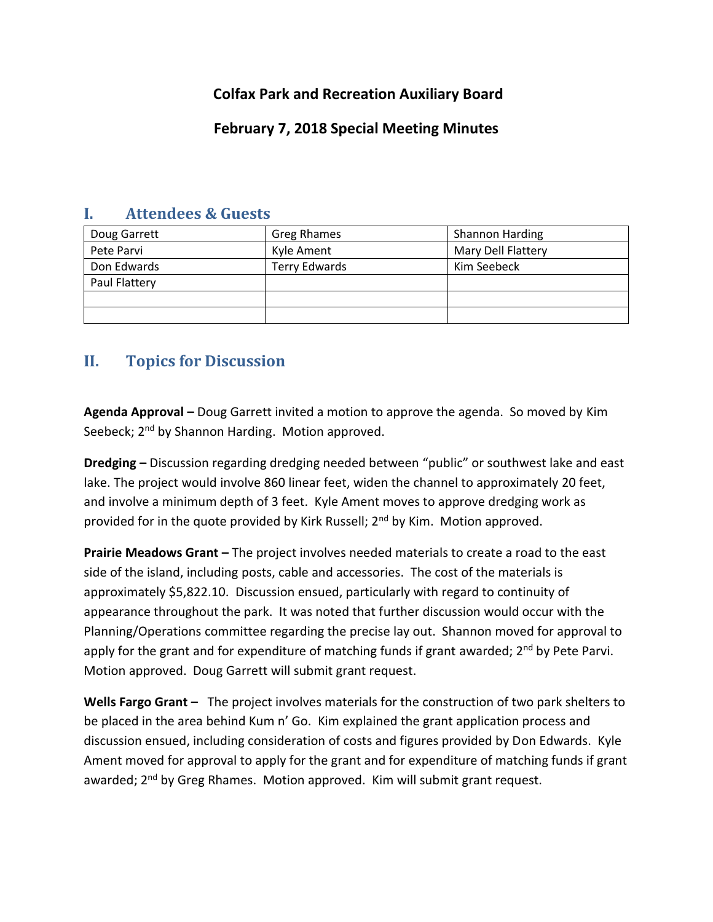## **Colfax Park and Recreation Auxiliary Board**

## **February 7, 2018 Special Meeting Minutes**

| Doug Garrett  | <b>Greg Rhames</b>   | <b>Shannon Harding</b> |
|---------------|----------------------|------------------------|
| Pete Parvi    | Kyle Ament           | Mary Dell Flattery     |
| Don Edwards   | <b>Terry Edwards</b> | Kim Seebeck            |
| Paul Flattery |                      |                        |
|               |                      |                        |
|               |                      |                        |

## **I. Attendees & Guests**

## **II. Topics for Discussion**

**Agenda Approval –** Doug Garrett invited a motion to approve the agenda. So moved by Kim Seebeck; 2<sup>nd</sup> by Shannon Harding. Motion approved.

**Dredging –** Discussion regarding dredging needed between "public" or southwest lake and east lake. The project would involve 860 linear feet, widen the channel to approximately 20 feet, and involve a minimum depth of 3 feet. Kyle Ament moves to approve dredging work as provided for in the quote provided by Kirk Russell; 2<sup>nd</sup> by Kim. Motion approved.

**Prairie Meadows Grant –** The project involves needed materials to create a road to the east side of the island, including posts, cable and accessories. The cost of the materials is approximately \$5,822.10. Discussion ensued, particularly with regard to continuity of appearance throughout the park. It was noted that further discussion would occur with the Planning/Operations committee regarding the precise lay out. Shannon moved for approval to apply for the grant and for expenditure of matching funds if grant awarded; 2<sup>nd</sup> by Pete Parvi. Motion approved. Doug Garrett will submit grant request.

**Wells Fargo Grant –** The project involves materials for the construction of two park shelters to be placed in the area behind Kum n' Go. Kim explained the grant application process and discussion ensued, including consideration of costs and figures provided by Don Edwards. Kyle Ament moved for approval to apply for the grant and for expenditure of matching funds if grant awarded; 2<sup>nd</sup> by Greg Rhames. Motion approved. Kim will submit grant request.